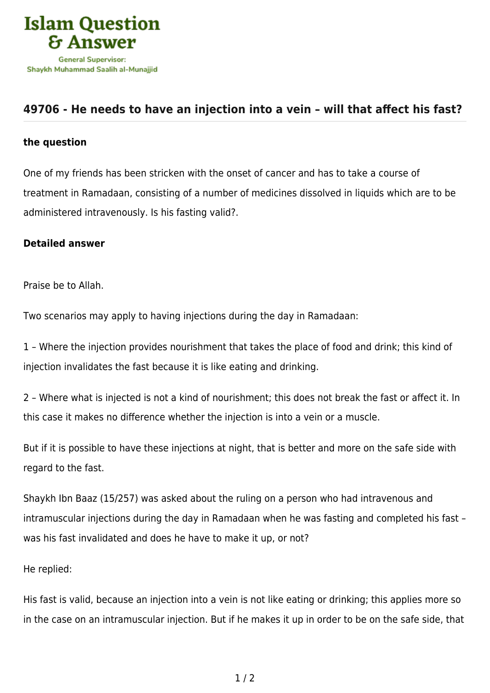

## **[49706 - He needs to have an injection into a vein – will that affect his fast?](https://islamqa.com/en/answers/49706/he-needs-to-have-an-injection-into-a-vein-will-that-affect-his-fast)**

## **the question**

One of my friends has been stricken with the onset of cancer and has to take a course of treatment in Ramadaan, consisting of a number of medicines dissolved in liquids which are to be administered intravenously. Is his fasting valid?.

## **Detailed answer**

Praise be to Allah.

Two scenarios may apply to having injections during the day in Ramadaan:

1 – Where the injection provides nourishment that takes the place of food and drink; this kind of injection invalidates the fast because it is like eating and drinking.

2 – Where what is injected is not a kind of nourishment; this does not break the fast or affect it. In this case it makes no difference whether the injection is into a vein or a muscle.

But if it is possible to have these injections at night, that is better and more on the safe side with regard to the fast.

Shaykh Ibn Baaz (15/257) was asked about the ruling on a person who had intravenous and intramuscular injections during the day in Ramadaan when he was fasting and completed his fast – was his fast invalidated and does he have to make it up, or not?

He replied:

His fast is valid, because an injection into a vein is not like eating or drinking; this applies more so in the case on an intramuscular injection. But if he makes it up in order to be on the safe side, that